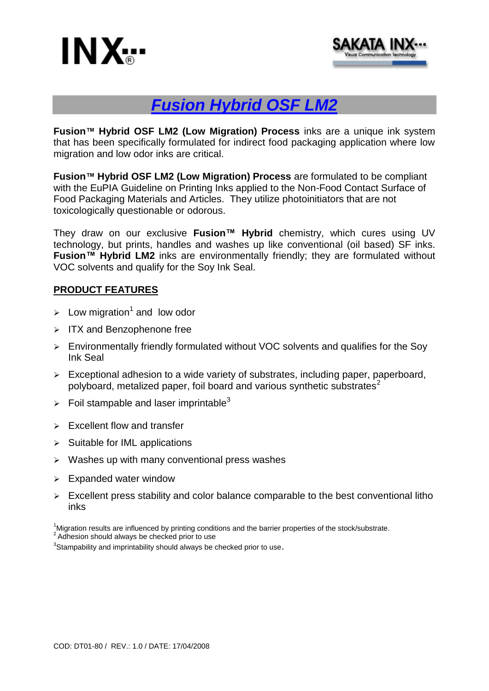



# *Fusion Hybrid OSF LM2*

**Fusion™ Hybrid OSF LM2 (Low Migration) Process** inks are a unique ink system that has been specifically formulated for indirect food packaging application where low migration and low odor inks are critical.

**Fusion™ Hybrid OSF LM2 (Low Migration) Process** are formulated to be compliant with the EuPIA Guideline on Printing Inks applied to the Non-Food Contact Surface of Food Packaging Materials and Articles. They utilize photoinitiators that are not toxicologically questionable or odorous.

They draw on our exclusive **Fusion™ Hybrid** chemistry, which cures using UV technology, but prints, handles and washes up like conventional (oil based) SF inks. **Fusion™ Hybrid LM2** inks are environmentally friendly; they are formulated without VOC solvents and qualify for the Soy Ink Seal.

### **PRODUCT FEATURES**

- > Low migration<sup>1</sup> and low odor
- $\triangleright$  ITX and Benzophenone free
- $\triangleright$  Environmentally friendly formulated without VOC solvents and qualifies for the Sov Ink Seal
- $\triangleright$  Exceptional adhesion to a wide variety of substrates, including paper, paperboard, polyboard, metalized paper, foil board and various synthetic substrates<sup>2</sup>
- $\triangleright$  Foil stampable and laser imprintable<sup>3</sup>
- $\triangleright$  Excellent flow and transfer
- $\triangleright$  Suitable for IML applications
- $\triangleright$  Washes up with many conventional press washes
- $\triangleright$  Expanded water window
- $\triangleright$  Excellent press stability and color balance comparable to the best conventional litho inks

<sup>1</sup>Migration results are influenced by printing conditions and the barrier properties of the stock/substrate. <sup>2</sup> Adhesion should always be checked prior to use

 ${}^{3}$ Stampability and imprintability should always be checked prior to use.